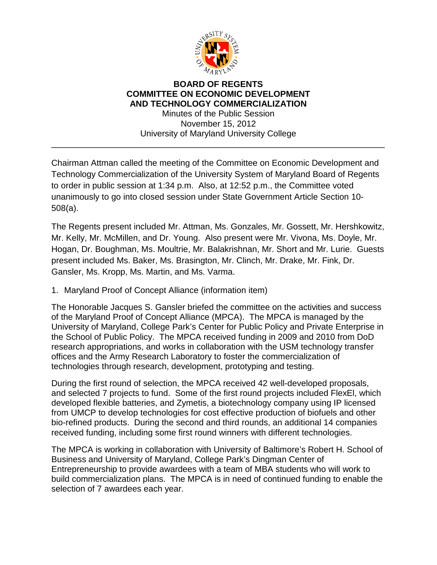

## **BOARD OF REGENTS COMMITTEE ON ECONOMIC DEVELOPMENT AND TECHNOLOGY COMMERCIALIZATION** Minutes of the Public Session

November 15, 2012 University of Maryland University College

\_\_\_\_\_\_\_\_\_\_\_\_\_\_\_\_\_\_\_\_\_\_\_\_\_\_\_\_\_\_\_\_\_\_\_\_\_\_\_\_\_\_\_\_\_\_\_\_\_\_\_\_\_\_\_\_\_\_\_\_\_\_\_\_\_\_\_\_\_\_

Chairman Attman called the meeting of the Committee on Economic Development and Technology Commercialization of the University System of Maryland Board of Regents to order in public session at 1:34 p.m. Also, at 12:52 p.m., the Committee voted unanimously to go into closed session under State Government Article Section 10- 508(a).

The Regents present included Mr. Attman, Ms. Gonzales, Mr. Gossett, Mr. Hershkowitz, Mr. Kelly, Mr. McMillen, and Dr. Young. Also present were Mr. Vivona, Ms. Doyle, Mr. Hogan, Dr. Boughman, Ms. Moultrie, Mr. Balakrishnan, Mr. Short and Mr. Lurie. Guests present included Ms. Baker, Ms. Brasington, Mr. Clinch, Mr. Drake, Mr. Fink, Dr. Gansler, Ms. Kropp, Ms. Martin, and Ms. Varma.

1. Maryland Proof of Concept Alliance (information item)

The Honorable Jacques S. Gansler briefed the committee on the activities and success of the Maryland Proof of Concept Alliance (MPCA). The MPCA is managed by the University of Maryland, College Park's Center for Public Policy and Private Enterprise in the School of Public Policy. The MPCA received funding in 2009 and 2010 from DoD research appropriations, and works in collaboration with the USM technology transfer offices and the Army Research Laboratory to foster the commercialization of technologies through research, development, prototyping and testing.

During the first round of selection, the MPCA received 42 well-developed proposals, and selected 7 projects to fund. Some of the first round projects included FlexEl, which developed flexible batteries, and Zymetis, a biotechnology company using IP licensed from UMCP to develop technologies for cost effective production of biofuels and other bio-refined products. During the second and third rounds, an additional 14 companies received funding, including some first round winners with different technologies.

The MPCA is working in collaboration with University of Baltimore's Robert H. School of Business and University of Maryland, College Park's Dingman Center of Entrepreneurship to provide awardees with a team of MBA students who will work to build commercialization plans. The MPCA is in need of continued funding to enable the selection of 7 awardees each year.